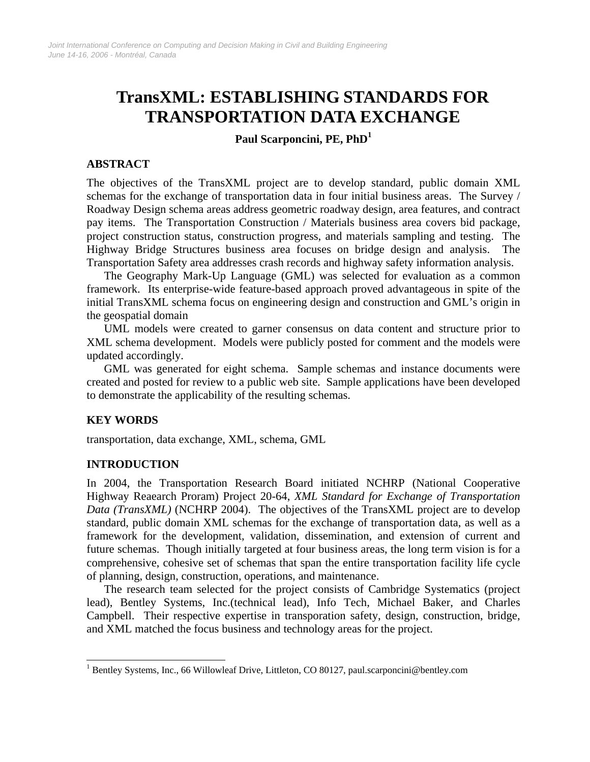# **TransXML: ESTABLISHING STANDARDS FOR TRANSPORTATION DATA EXCHANGE**

**Paul Scarponcini, PE, PhD[1](#page-0-0)**

# **ABSTRACT**

The objectives of the TransXML project are to develop standard, public domain XML schemas for the exchange of transportation data in four initial business areas. The Survey / Roadway Design schema areas address geometric roadway design, area features, and contract pay items. The Transportation Construction / Materials business area covers bid package, project construction status, construction progress, and materials sampling and testing. The Highway Bridge Structures business area focuses on bridge design and analysis. The Transportation Safety area addresses crash records and highway safety information analysis.

The Geography Mark-Up Language (GML) was selected for evaluation as a common framework. Its enterprise-wide feature-based approach proved advantageous in spite of the initial TransXML schema focus on engineering design and construction and GML's origin in the geospatial domain

UML models were created to garner consensus on data content and structure prior to XML schema development. Models were publicly posted for comment and the models were updated accordingly.

GML was generated for eight schema. Sample schemas and instance documents were created and posted for review to a public web site. Sample applications have been developed to demonstrate the applicability of the resulting schemas.

# **KEY WORDS**

 $\overline{\phantom{a}}$ 

transportation, data exchange, XML, schema, GML

# **INTRODUCTION**

In 2004, the Transportation Research Board initiated NCHRP (National Cooperative Highway Reaearch Proram) Project 20-64, *XML Standard for Exchange of Transportation Data (TransXML)* (NCHRP 2004). The objectives of the TransXML project are to develop standard, public domain XML schemas for the exchange of transportation data, as well as a framework for the development, validation, dissemination, and extension of current and future schemas. Though initially targeted at four business areas, the long term vision is for a comprehensive, cohesive set of schemas that span the entire transportation facility life cycle of planning, design, construction, operations, and maintenance.

The research team selected for the project consists of Cambridge Systematics (project lead), Bentley Systems, Inc.(technical lead), Info Tech, Michael Baker, and Charles Campbell. Their respective expertise in transporation safety, design, construction, bridge, and XML matched the focus business and technology areas for the project.

<span id="page-0-0"></span><sup>&</sup>lt;sup>1</sup> Bentley Systems, Inc., 66 Willowleaf Drive, Littleton, CO 80127, paul.scarponcini@bentley.com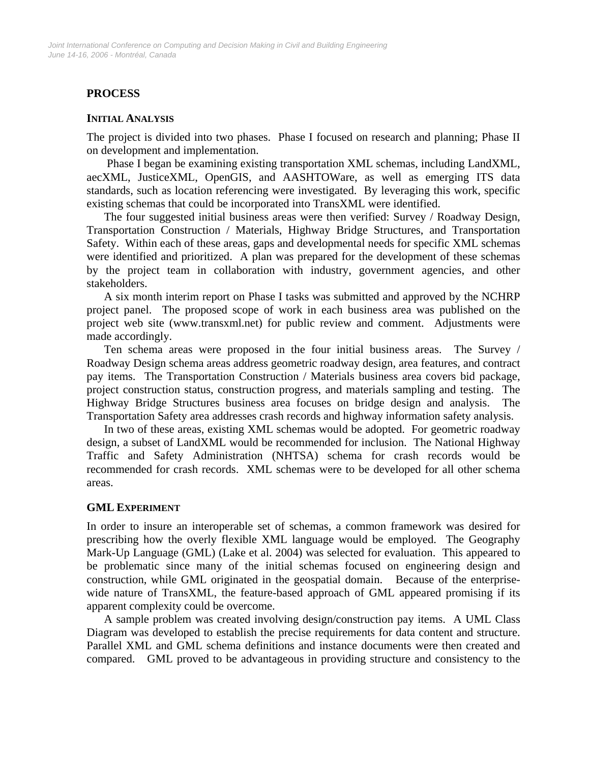# **PROCESS**

#### **INITIAL ANALYSIS**

The project is divided into two phases. Phase I focused on research and planning; Phase II on development and implementation.

 Phase I began be examining existing transportation XML schemas, including LandXML, aecXML, JusticeXML, OpenGIS, and AASHTOWare, as well as emerging ITS data standards, such as location referencing were investigated. By leveraging this work, specific existing schemas that could be incorporated into TransXML were identified.

The four suggested initial business areas were then verified: Survey / Roadway Design, Transportation Construction / Materials, Highway Bridge Structures, and Transportation Safety. Within each of these areas, gaps and developmental needs for specific XML schemas were identified and prioritized. A plan was prepared for the development of these schemas by the project team in collaboration with industry, government agencies, and other stakeholders.

A six month interim report on Phase I tasks was submitted and approved by the NCHRP project panel. The proposed scope of work in each business area was published on the project web site (www.transxml.net) for public review and comment. Adjustments were made accordingly.

Ten schema areas were proposed in the four initial business areas. The Survey / Roadway Design schema areas address geometric roadway design, area features, and contract pay items. The Transportation Construction / Materials business area covers bid package, project construction status, construction progress, and materials sampling and testing. The Highway Bridge Structures business area focuses on bridge design and analysis. The Transportation Safety area addresses crash records and highway information safety analysis.

In two of these areas, existing XML schemas would be adopted. For geometric roadway design, a subset of LandXML would be recommended for inclusion. The National Highway Traffic and Safety Administration (NHTSA) schema for crash records would be recommended for crash records. XML schemas were to be developed for all other schema areas.

### **GML EXPERIMENT**

In order to insure an interoperable set of schemas, a common framework was desired for prescribing how the overly flexible XML language would be employed. The Geography Mark-Up Language (GML) (Lake et al. 2004) was selected for evaluation. This appeared to be problematic since many of the initial schemas focused on engineering design and construction, while GML originated in the geospatial domain. Because of the enterprisewide nature of TransXML, the feature-based approach of GML appeared promising if its apparent complexity could be overcome.

A sample problem was created involving design/construction pay items. A UML Class Diagram was developed to establish the precise requirements for data content and structure. Parallel XML and GML schema definitions and instance documents were then created and compared. GML proved to be advantageous in providing structure and consistency to the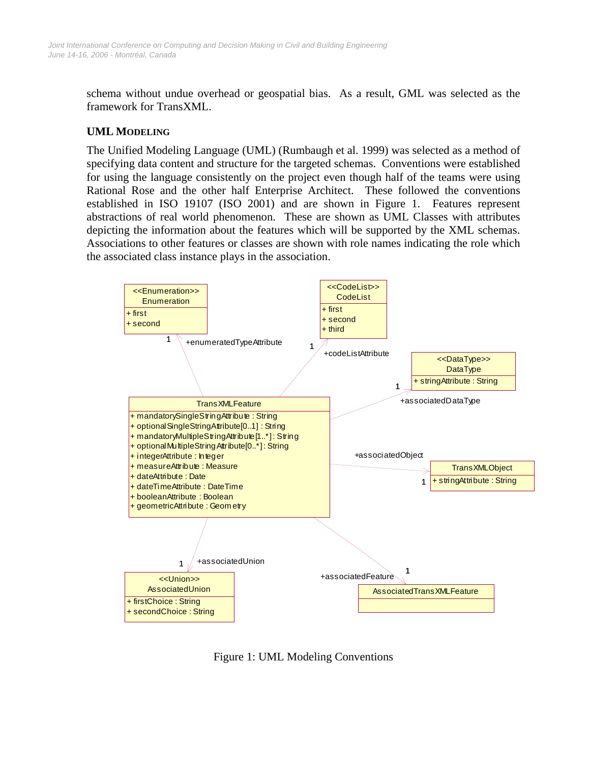schema without undue overhead or geospatial bias. As a result, GML was selected as the framework for TransXML.

# **UML MODELING**

The Unified Modeling Language (UML) (Rumbaugh et al. 1999) was selected as a method of specifying data content and structure for the targeted schemas. Conventions were established for using the language consistently on the project even though half of the teams were using Rational Rose and the other half Enterprise Architect. These followed the conventions established in ISO 19107 (ISO 2001) and are shown in Figure 1. Features represent abstractions of real world phenomenon. These are shown as UML Classes with attributes depicting the information about the features which will be supported by the XML schemas. Associations to other features or classes are shown with role names indicating the role which the associated class instance plays in the association.



Figure 1: UML Modeling Conventions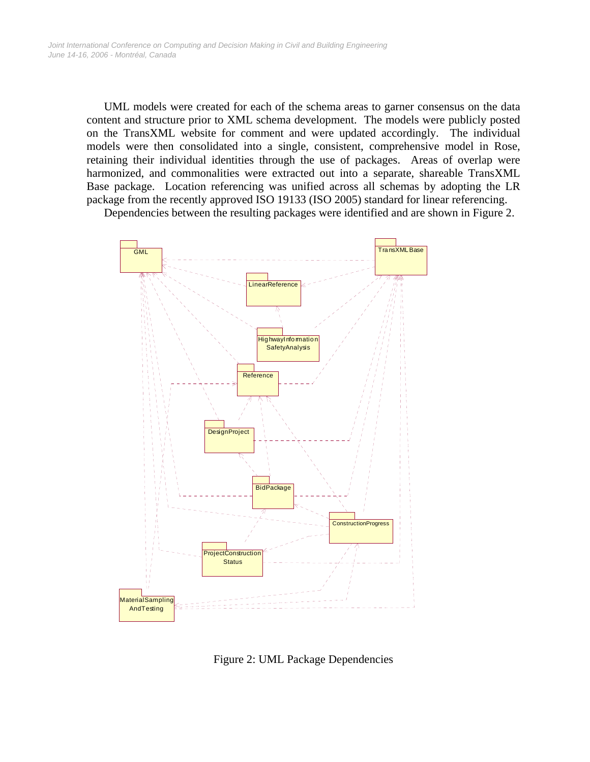UML models were created for each of the schema areas to garner consensus on the data content and structure prior to XML schema development. The models were publicly posted on the TransXML website for comment and were updated accordingly. The individual models were then consolidated into a single, consistent, comprehensive model in Rose, retaining their individual identities through the use of packages. Areas of overlap were harmonized, and commonalities were extracted out into a separate, shareable TransXML Base package. Location referencing was unified across all schemas by adopting the LR package from the recently approved ISO 19133 (ISO 2005) standard for linear referencing.

Dependencies between the resulting packages were identified and are shown in Figure 2.



Figure 2: UML Package Dependencies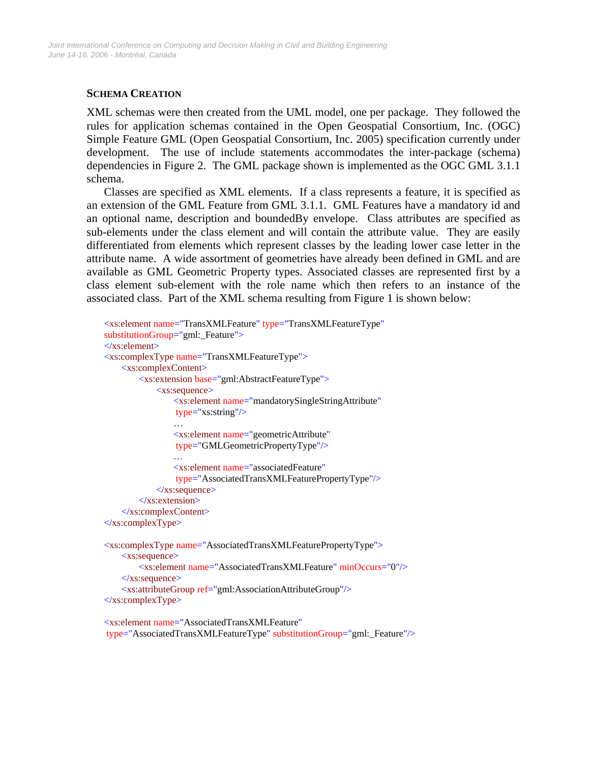# **SCHEMA CREATION**

XML schemas were then created from the UML model, one per package. They followed the rules for application schemas contained in the Open Geospatial Consortium, Inc. (OGC) Simple Feature GML (Open Geospatial Consortium, Inc. 2005) specification currently under development. The use of include statements accommodates the inter-package (schema) dependencies in Figure 2. The GML package shown is implemented as the OGC GML 3.1.1 schema.

Classes are specified as XML elements. If a class represents a feature, it is specified as an extension of the GML Feature from GML 3.1.1. GML Features have a mandatory id and an optional name, description and boundedBy envelope. Class attributes are specified as sub-elements under the class element and will contain the attribute value. They are easily differentiated from elements which represent classes by the leading lower case letter in the attribute name. A wide assortment of geometries have already been defined in GML and are available as GML Geometric Property types. Associated classes are represented first by a class element sub-element with the role name which then refers to an instance of the associated class. Part of the XML schema resulting from Figure 1 is shown below:

```
<xs:element name="TransXMLFeature" type="TransXMLFeatureType" 
   substitutionGroup="gml: Feature">
   </xs:element>
   <xs:complexType name="TransXMLFeatureType">
         <xs:complexContent>
             <xs:extension base="gml:AbstractFeatureType">
                 <xs:sequence>
                     <xs:element name="mandatorySingleStringAttribute" 
                      type="xs:string"/>
man and the state of the state
                     <xs:element name="geometricAttribute" 
                      type="GMLGeometricPropertyType"/> 
man and the state of the state
                     <xs:element name="associatedFeature" 
                      type="AssociatedTransXMLFeaturePropertyType"/>
                 </xs:sequence>
             </xs:extension>
         </xs:complexContent>
   </xs:complexType>
```

```
<xs:complexType name="AssociatedTransXMLFeaturePropertyType">
     <xs:sequence>
         <xs:element name="AssociatedTransXMLFeature" minOccurs="0"/>
    \langle x \ranglexs:sequence
     <xs:attributeGroup ref="gml:AssociationAttributeGroup"/>
</xs:complexType>
```

```
<xs:element name="AssociatedTransXMLFeature" 
 type="AssociatedTransXMLFeatureType" substitutionGroup="gml:_Feature"/>
```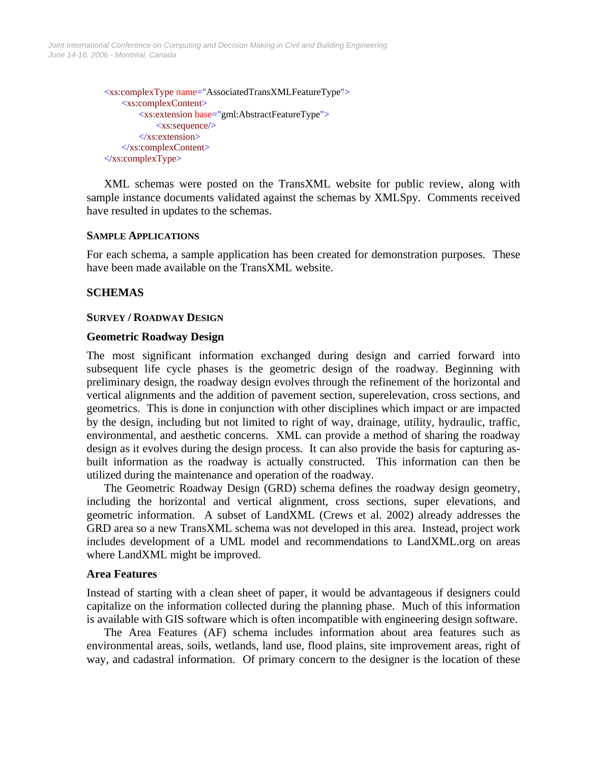*June 14-16, 2006 - Montréal, Canada Joint International Conference on Computing and Decision Making in Civil and Building Engineering*

```
<xs:complexType name="AssociatedTransXMLFeatureType">
     <xs:complexContent>
         <xs:extension base="gml:AbstractFeatureType">
             <xs:sequence/>
         </xs:extension>
     </xs:complexContent>
</xs:complexType>
```
XML schemas were posted on the TransXML website for public review, along with sample instance documents validated against the schemas by XMLSpy. Comments received have resulted in updates to the schemas.

#### **SAMPLE APPLICATIONS**

For each schema, a sample application has been created for demonstration purposes. These have been made available on the TransXML website.

### **SCHEMAS**

#### **SURVEY / ROADWAY DESIGN**

#### **Geometric Roadway Design**

The most significant information exchanged during design and carried forward into subsequent life cycle phases is the geometric design of the roadway. Beginning with preliminary design, the roadway design evolves through the refinement of the horizontal and vertical alignments and the addition of pavement section, superelevation, cross sections, and geometrics. This is done in conjunction with other disciplines which impact or are impacted by the design, including but not limited to right of way, drainage, utility, hydraulic, traffic, environmental, and aesthetic concerns. XML can provide a method of sharing the roadway design as it evolves during the design process. It can also provide the basis for capturing asbuilt information as the roadway is actually constructed. This information can then be utilized during the maintenance and operation of the roadway.

The Geometric Roadway Design (GRD) schema defines the roadway design geometry, including the horizontal and vertical alignment, cross sections, super elevations, and geometric information. A subset of LandXML (Crews et al. 2002) already addresses the GRD area so a new TransXML schema was not developed in this area. Instead, project work includes development of a UML model and recommendations to LandXML.org on areas where LandXML might be improved.

#### **Area Features**

Instead of starting with a clean sheet of paper, it would be advantageous if designers could capitalize on the information collected during the planning phase. Much of this information is available with GIS software which is often incompatible with engineering design software.

The Area Features (AF) schema includes information about area features such as environmental areas, soils, wetlands, land use, flood plains, site improvement areas, right of way, and cadastral information. Of primary concern to the designer is the location of these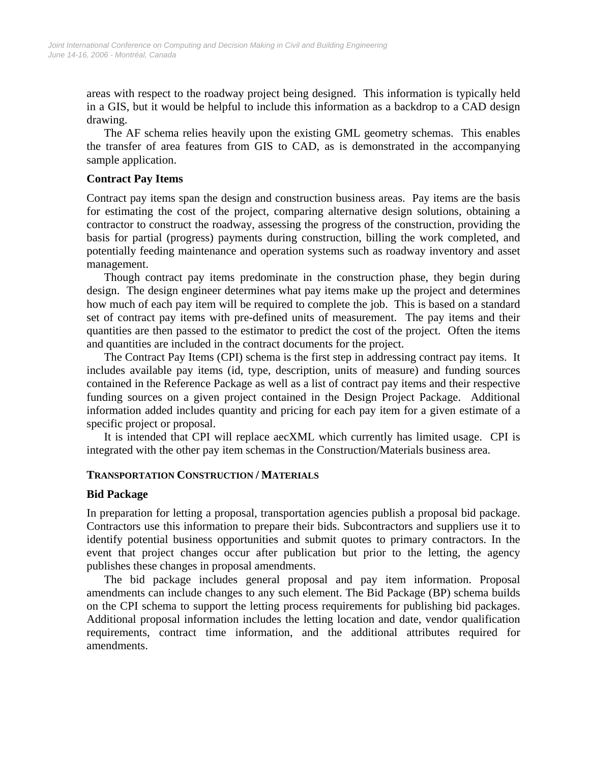areas with respect to the roadway project being designed. This information is typically held in a GIS, but it would be helpful to include this information as a backdrop to a CAD design drawing.

The AF schema relies heavily upon the existing GML geometry schemas. This enables the transfer of area features from GIS to CAD, as is demonstrated in the accompanying sample application.

#### **Contract Pay Items**

Contract pay items span the design and construction business areas. Pay items are the basis for estimating the cost of the project, comparing alternative design solutions, obtaining a contractor to construct the roadway, assessing the progress of the construction, providing the basis for partial (progress) payments during construction, billing the work completed, and potentially feeding maintenance and operation systems such as roadway inventory and asset management.

Though contract pay items predominate in the construction phase, they begin during design. The design engineer determines what pay items make up the project and determines how much of each pay item will be required to complete the job. This is based on a standard set of contract pay items with pre-defined units of measurement. The pay items and their quantities are then passed to the estimator to predict the cost of the project. Often the items and quantities are included in the contract documents for the project.

The Contract Pay Items (CPI) schema is the first step in addressing contract pay items. It includes available pay items (id, type, description, units of measure) and funding sources contained in the Reference Package as well as a list of contract pay items and their respective funding sources on a given project contained in the Design Project Package. Additional information added includes quantity and pricing for each pay item for a given estimate of a specific project or proposal.

It is intended that CPI will replace aecXML which currently has limited usage. CPI is integrated with the other pay item schemas in the Construction/Materials business area.

### **TRANSPORTATION CONSTRUCTION / MATERIALS**

#### **Bid Package**

In preparation for letting a proposal, transportation agencies publish a proposal bid package. Contractors use this information to prepare their bids. Subcontractors and suppliers use it to identify potential business opportunities and submit quotes to primary contractors. In the event that project changes occur after publication but prior to the letting, the agency publishes these changes in proposal amendments.

The bid package includes general proposal and pay item information. Proposal amendments can include changes to any such element. The Bid Package (BP) schema builds on the CPI schema to support the letting process requirements for publishing bid packages. Additional proposal information includes the letting location and date, vendor qualification requirements, contract time information, and the additional attributes required for amendments.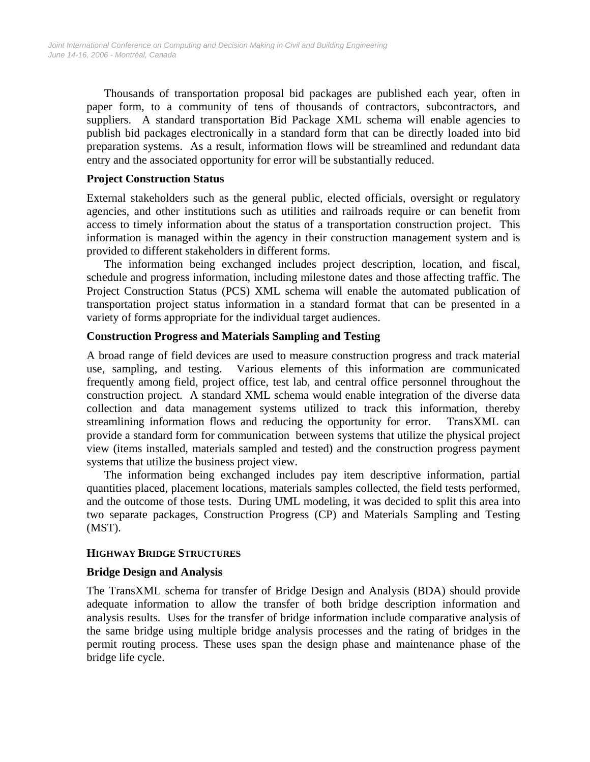Thousands of transportation proposal bid packages are published each year, often in paper form, to a community of tens of thousands of contractors, subcontractors, and suppliers. A standard transportation Bid Package XML schema will enable agencies to publish bid packages electronically in a standard form that can be directly loaded into bid preparation systems. As a result, information flows will be streamlined and redundant data entry and the associated opportunity for error will be substantially reduced.

## **Project Construction Status**

External stakeholders such as the general public, elected officials, oversight or regulatory agencies, and other institutions such as utilities and railroads require or can benefit from access to timely information about the status of a transportation construction project. This information is managed within the agency in their construction management system and is provided to different stakeholders in different forms.

The information being exchanged includes project description, location, and fiscal, schedule and progress information, including milestone dates and those affecting traffic. The Project Construction Status (PCS) XML schema will enable the automated publication of transportation project status information in a standard format that can be presented in a variety of forms appropriate for the individual target audiences.

# **Construction Progress and Materials Sampling and Testing**

A broad range of field devices are used to measure construction progress and track material use, sampling, and testing. Various elements of this information are communicated frequently among field, project office, test lab, and central office personnel throughout the construction project. A standard XML schema would enable integration of the diverse data collection and data management systems utilized to track this information, thereby streamlining information flows and reducing the opportunity for error. TransXML can provide a standard form for communication between systems that utilize the physical project view (items installed, materials sampled and tested) and the construction progress payment systems that utilize the business project view.

The information being exchanged includes pay item descriptive information, partial quantities placed, placement locations, materials samples collected, the field tests performed, and the outcome of those tests. During UML modeling, it was decided to split this area into two separate packages, Construction Progress (CP) and Materials Sampling and Testing (MST).

### **HIGHWAY BRIDGE STRUCTURES**

### **Bridge Design and Analysis**

The TransXML schema for transfer of Bridge Design and Analysis (BDA) should provide adequate information to allow the transfer of both bridge description information and analysis results. Uses for the transfer of bridge information include comparative analysis of the same bridge using multiple bridge analysis processes and the rating of bridges in the permit routing process. These uses span the design phase and maintenance phase of the bridge life cycle.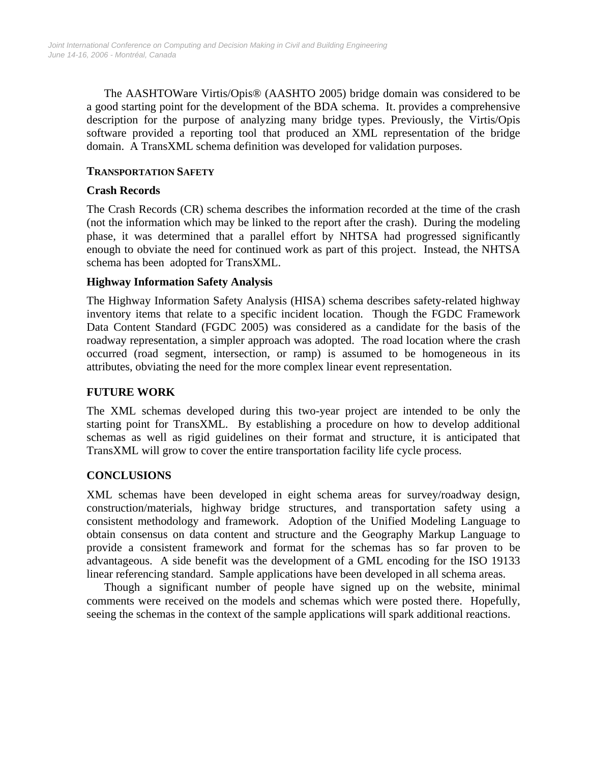The AASHTOWare Virtis/Opis® (AASHTO 2005) bridge domain was considered to be a good starting point for the development of the BDA schema. It. provides a comprehensive description for the purpose of analyzing many bridge types. Previously, the Virtis/Opis software provided a reporting tool that produced an XML representation of the bridge domain. A TransXML schema definition was developed for validation purposes.

## **TRANSPORTATION SAFETY**

## **Crash Records**

The Crash Records (CR) schema describes the information recorded at the time of the crash (not the information which may be linked to the report after the crash). During the modeling phase, it was determined that a parallel effort by NHTSA had progressed significantly enough to obviate the need for continued work as part of this project. Instead, the NHTSA schema has been adopted for TransXML.

# **Highway Information Safety Analysis**

The Highway Information Safety Analysis (HISA) schema describes safety-related highway inventory items that relate to a specific incident location. Though the FGDC Framework Data Content Standard (FGDC 2005) was considered as a candidate for the basis of the roadway representation, a simpler approach was adopted. The road location where the crash occurred (road segment, intersection, or ramp) is assumed to be homogeneous in its attributes, obviating the need for the more complex linear event representation.

# **FUTURE WORK**

The XML schemas developed during this two-year project are intended to be only the starting point for TransXML. By establishing a procedure on how to develop additional schemas as well as rigid guidelines on their format and structure, it is anticipated that TransXML will grow to cover the entire transportation facility life cycle process.

# **CONCLUSIONS**

XML schemas have been developed in eight schema areas for survey/roadway design, construction/materials, highway bridge structures, and transportation safety using a consistent methodology and framework. Adoption of the Unified Modeling Language to obtain consensus on data content and structure and the Geography Markup Language to provide a consistent framework and format for the schemas has so far proven to be advantageous. A side benefit was the development of a GML encoding for the ISO 19133 linear referencing standard. Sample applications have been developed in all schema areas.

Though a significant number of people have signed up on the website, minimal comments were received on the models and schemas which were posted there. Hopefully, seeing the schemas in the context of the sample applications will spark additional reactions.